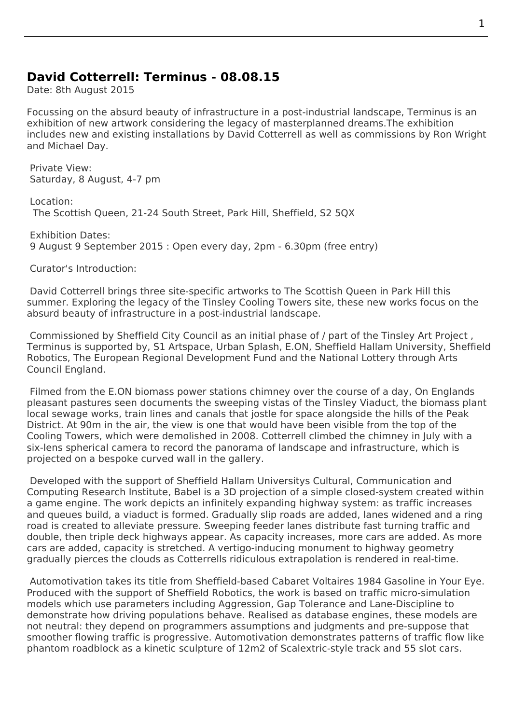## **David Cotterrell: Terminus - 08.08.15**

Date: 8th August 2015

Focussing on the absurd beauty of infrastructure in a post-industrial landscape, Terminus is an exhibition of new artwork considering the legacy of masterplanned dreams.The exhibition includes new and existing installations by David Cotterrell as well as commissions by Ron Wright and Michael Day.

Private View: Saturday, 8 August, 4-7 pm

Location: The Scottish Queen, 21-24 South Street, Park Hill, Sheffield, S2 5QX

Exhibition Dates: 9 August 9 September 2015 : Open every day, 2pm - 6.30pm (free entry)

Curator's Introduction:

 David Cotterrell brings three site-specific artworks to The Scottish Queen in Park Hill this summer. Exploring the legacy of the Tinsley Cooling Towers site, these new works focus on the absurd beauty of infrastructure in a post-industrial landscape.

 Commissioned by Sheffield City Council as an initial phase of / part of the Tinsley Art Project , Terminus is supported by, S1 Artspace, Urban Splash, E.ON, Sheffield Hallam University, Sheffield Robotics, The European Regional Development Fund and the National Lottery through Arts Council England.

 Filmed from the E.ON bio[mass power s](http://www.s1artspace.org/category/current/)[tations chimne](http://www.urbansplash.co.uk/blog/urban-splash/overlooked-a-new-arts-exhibition-at-park-hill/)y over the course of a day, On Englands pleasant pastures seen documents the sweeping vistas of the Tinsley Viaduct, the biomass plant local sewage works, train lines and canals that jostle for space alongside the hills of the Peak District. At 90m in the air, the view is one that would have been visible from the top of the Cooling Towers, which were demolished in 2008. Cotterrell climbed the chimney in July with a six-lens spherical camera to record the panorama of landscape and infrastructure, which is projected on a bespoke curved wall in the gallery.

 Developed with the support of Sheffield Hallam Universitys Cultural, Communication and Computing Research Institute, Babel is a 3D projection of a simple closed-system created within a game engine. The work depicts an infinitely expanding highway system: as traffic increases and queues build, a viaduct is formed. Gradually slip roads are added, lanes widened and a ring road is created to alleviate pressure. Sweeping feeder lanes distribute fast turning traffic and double, then triple deck highways appear. As capacity increases, more cars are added. As more cars are added, capacity is stretched. A vertigo-inducing monument to highway geometry gradually pierces the clouds as Cotterrells ridiculous extrapolation is rendered in real-time.

Automotivation takes its title from Sheffield-based Cabaret Voltaires 1984 Gasoline in Your Eye. Produced with the support of Sheffield Robotics, the work is based on traffic micro-simulation models which use parameters including Aggression, Gap Tolerance and Lane-Discipline to demonstrate how driving populations behave. Realised as database engines, these models are not neutral: they depend on programmers assumptions and judgments and pre-suppose that smoother flowing traffic is progressive. Automotivation demonstrates patterns of traffic flow like phantom roadblock as a kinetic sculpture of 12m2 of Scalextric-style track and 55 slot cars.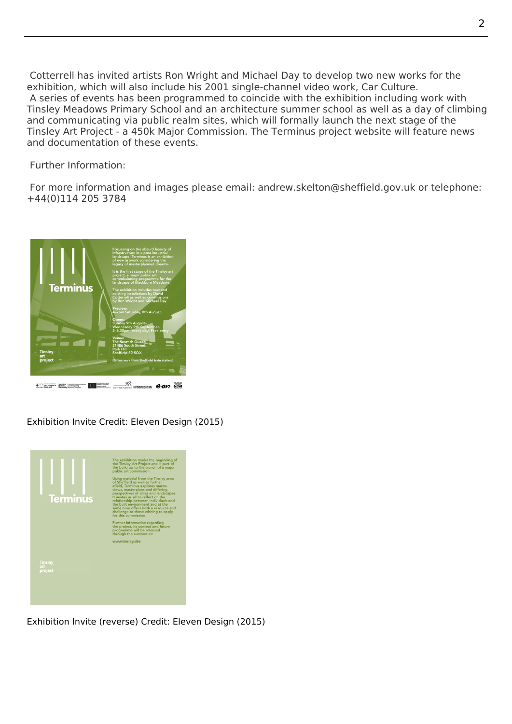Cotterrell has invited artists Ron Wright and Michael Day to develop two new works for the exhibition, which will also include his 2001 single-channel video work, Car Culture. A series of events has been programmed to coincide with the exhibition including work with Tinsley Meadows Primary School and an architecture summer school as well as a day of climbing and communicating via public realm sites, which will formally launch the next stage of the Tinsley Art Project - a 450k Major Commission. The Terminus project [website will f](http://www.cotterrell.com/projects/14/car-culture-v/)eature news and documentation of these events.

Further Information:

 For more information and images please email: andrew.skelton@sheffield.gov.uk or telephone: +44(0)114 205 3784



Exhibition Invite Credit: Eleven Design (2015)



Exhibition Invite (reverse) Credit: Eleven Design (2015)